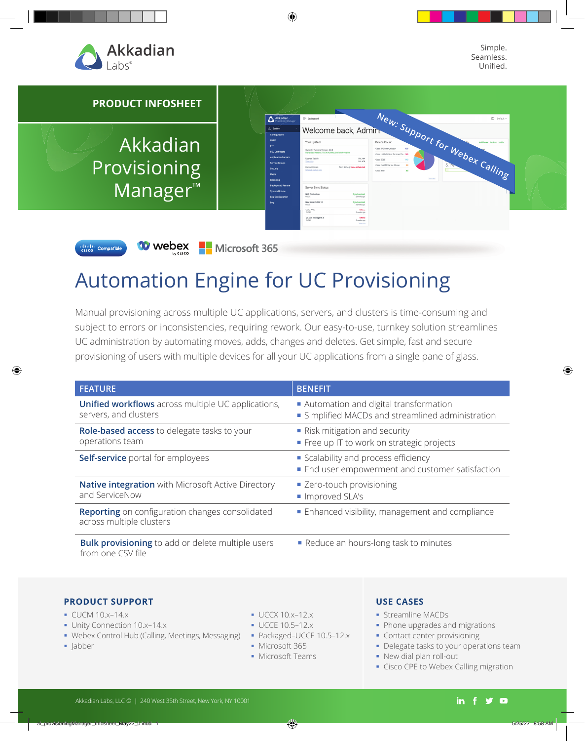

diala Compatible

Simple. Seamless. Unified.

#### **PRODUCT INFOSHEET** Welcome back, Admin.<sup>We</sup>w: Support for Webex Calling  $\overline{\Delta}$  Akka Akkadian Your System UIL: 164<br>DBL: 478 Provisioning Backup Details Manager™ Server Sync Statu NYC Production 2 weeks ago<br>Iynchronized<br>Iynchronized<br>I weeks ago New York CUCM 10 11.6 - 192 Offine<br>Gwerks ago QA Call Manager 8.6

**00 webex • Microsoft 365** 

# Automation Engine for UC Provisioning

Manual provisioning across multiple UC applications, servers, and clusters is time-consuming and subject to errors or inconsistencies, requiring rework. Our easy-to-use, turnkey solution streamlines UC administration by automating moves, adds, changes and deletes. Get simple, fast and secure provisioning of users with multiple devices for all your UC applications from a single pane of glass.

| <b>FEATURE</b>                                                                     | <b>BENEFIT</b>                                                                             |  |
|------------------------------------------------------------------------------------|--------------------------------------------------------------------------------------------|--|
| Unified workflows across multiple UC applications,<br>servers, and clusters        | Automation and digital transformation<br>• Simplified MACDs and streamlined administration |  |
| Role-based access to delegate tasks to your<br>operations team                     | Risk mitigation and security<br>Free up IT to work on strategic projects                   |  |
| Self-service portal for employees                                                  | Scalability and process efficiency<br>• End user empowerment and customer satisfaction     |  |
| <b>Native integration</b> with Microsoft Active Directory<br>and ServiceNow        | • Zero-touch provisioning<br>Improved SLA's                                                |  |
| <b>Reporting</b> on configuration changes consolidated<br>across multiple clusters | Enhanced visibility, management and compliance                                             |  |
| <b>Bulk provisioning</b> to add or delete multiple users<br>from one CSV file      | Reduce an hours-long task to minutes                                                       |  |

#### **PRODUCT SUPPORT**

- $\bullet$  CUCM 10.x-14.x
- Unity Connection 10.x-14.x
- Webex Control Hub (Calling, Meetings, Messaging) Packaged-UCCE 10.5-12.x
- Jabber
- $\bullet$  UCCX 10.x-12.x
- UCCE 10.5-12.x
- 
- **Microsoft 365**
- **Microsoft Teams**

#### **USE CASES**

- **Streamline MACDs**
- Phone upgrades and migrations
- **Contact center provisioning**
- **-** Delegate tasks to your operations team
- New dial plan roll-out
- Cisco CPE to Webex Calling migration